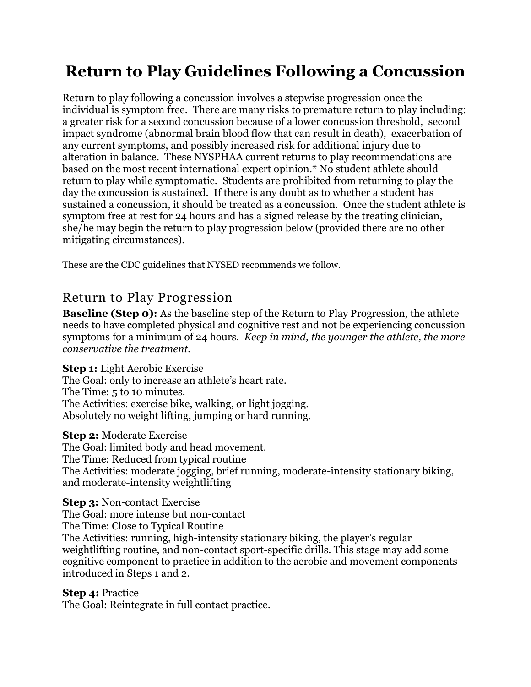# **Return to Play Guidelines Following a Concussion**

Return to play following a concussion involves a stepwise progression once the individual is symptom free. There are many risks to premature return to play including: a greater risk for a second concussion because of a lower concussion threshold, second impact syndrome (abnormal brain blood flow that can result in death), exacerbation of any current symptoms, and possibly increased risk for additional injury due to alteration in balance. These NYSPHAA current returns to play recommendations are based on the most recent international expert opinion.\* No student athlete should return to play while symptomatic. Students are prohibited from returning to play the day the concussion is sustained. If there is any doubt as to whether a student has sustained a concussion, it should be treated as a concussion. Once the student athlete is symptom free at rest for 24 hours and has a signed release by the treating clinician, she/he may begin the return to play progression below (provided there are no other mitigating circumstances).

These are the CDC guidelines that NYSED recommends we follow.

# Return to Play Progression

**Baseline (Step 0):** As the baseline step of the Return to Play Progression, the athlete needs to have completed physical and cognitive rest and not be experiencing concussion symptoms for a minimum of 24 hours. *Keep in mind, the younger the athlete, the more conservative the treatment.*

**Step 1:** Light Aerobic Exercise

The Goal: only to increase an athlete's heart rate. The Time: 5 to 10 minutes. The Activities: exercise bike, walking, or light jogging. Absolutely no weight lifting, jumping or hard running.

# **Step 2:** Moderate Exercise

The Goal: limited body and head movement. The Time: Reduced from typical routine The Activities: moderate jogging, brief running, moderate-intensity stationary biking, and moderate-intensity weightlifting

# **Step 3:** Non-contact Exercise

The Goal: more intense but non-contact The Time: Close to Typical Routine The Activities: running, high-intensity stationary biking, the player's regular weightlifting routine, and non-contact sport-specific drills. This stage may add some cognitive component to practice in addition to the aerobic and movement components introduced in Steps 1 and 2.

#### **Step 4:** Practice

The Goal: Reintegrate in full contact practice.